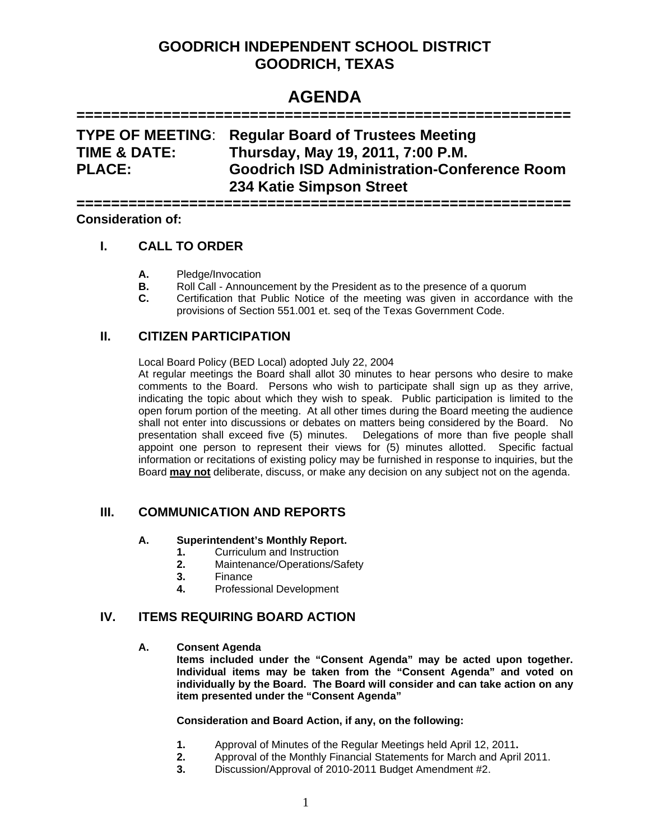# **GOODRICH INDEPENDENT SCHOOL DISTRICT GOODRICH, TEXAS**

# **AGENDA**

#### **=========================================================**

# **TYPE OF MEETING**: **Regular Board of Trustees Meeting TIME & DATE: Thursday, May 19, 2011, 7:00 P.M. PLACE: Goodrich ISD Administration-Conference Room 234 Katie Simpson Street**

**========================================================= Consideration of:**

# **I. CALL TO ORDER**

- **A.** Pledge/Invocation
- **B.** Roll Call Announcement by the President as to the presence of a quorum
- **C.** Certification that Public Notice of the meeting was given in accordance with the provisions of Section 551.001 et. seq of the Texas Government Code.

# **II. CITIZEN PARTICIPATION**

Local Board Policy (BED Local) adopted July 22, 2004

At regular meetings the Board shall allot 30 minutes to hear persons who desire to make comments to the Board. Persons who wish to participate shall sign up as they arrive, indicating the topic about which they wish to speak. Public participation is limited to the open forum portion of the meeting. At all other times during the Board meeting the audience shall not enter into discussions or debates on matters being considered by the Board. No presentation shall exceed five (5) minutes. Delegations of more than five people shall appoint one person to represent their views for (5) minutes allotted. Specific factual information or recitations of existing policy may be furnished in response to inquiries, but the Board **may not** deliberate, discuss, or make any decision on any subject not on the agenda.

# **III. COMMUNICATION AND REPORTS**

#### **A. Superintendent's Monthly Report.**

- **1.** Curriculum and Instruction
- **2.** Maintenance/Operations/Safety
- **3.** Finance
- **4.** Professional Development

## **IV. ITEMS REQUIRING BOARD ACTION**

#### **A. Consent Agenda**

**Items included under the "Consent Agenda" may be acted upon together. Individual items may be taken from the "Consent Agenda" and voted on individually by the Board. The Board will consider and can take action on any item presented under the "Consent Agenda"** 

#### **Consideration and Board Action, if any, on the following:**

- **1.** Approval of Minutes of the Regular Meetings held April 12, 2011**.**
- **2.** Approval of the Monthly Financial Statements for March and April 2011.
- **3.** Discussion/Approval of 2010-2011 Budget Amendment #2.